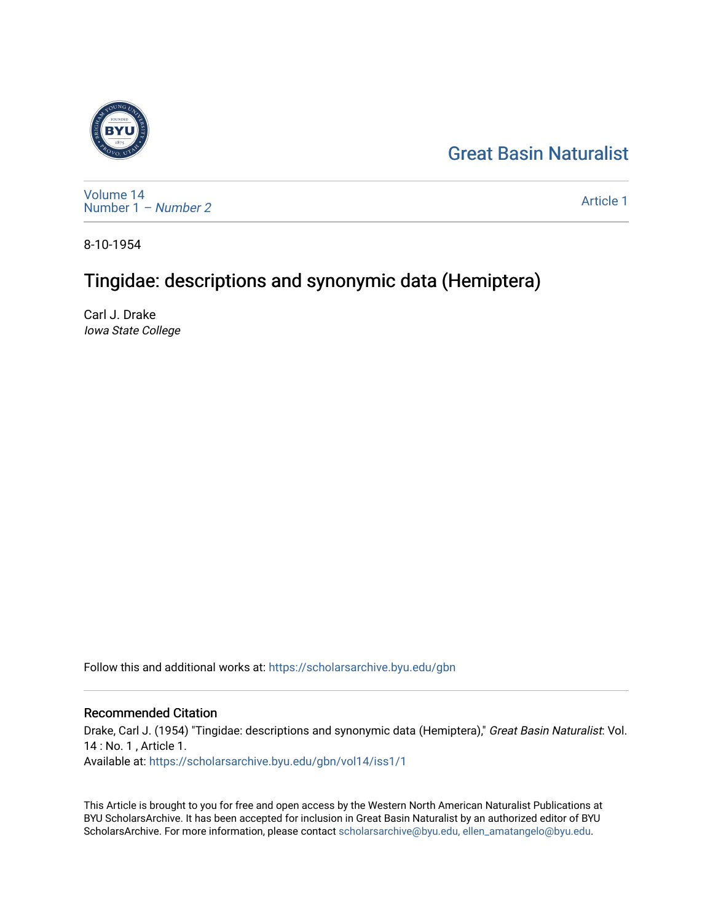## [Great Basin Naturalist](https://scholarsarchive.byu.edu/gbn)



[Volume 14](https://scholarsarchive.byu.edu/gbn/vol14) [Number 1](https://scholarsarchive.byu.edu/gbn/vol14/iss1) – Number 2

[Article 1](https://scholarsarchive.byu.edu/gbn/vol14/iss1/1) 

8-10-1954

## Tingidae: descriptions and synonymic data (Hemiptera)

Carl J. Drake Iowa State College

Follow this and additional works at: [https://scholarsarchive.byu.edu/gbn](https://scholarsarchive.byu.edu/gbn?utm_source=scholarsarchive.byu.edu%2Fgbn%2Fvol14%2Fiss1%2F1&utm_medium=PDF&utm_campaign=PDFCoverPages) 

### Recommended Citation

Drake, Carl J. (1954) "Tingidae: descriptions and synonymic data (Hemiptera)," Great Basin Naturalist: Vol. 14 : No. 1 , Article 1. Available at: [https://scholarsarchive.byu.edu/gbn/vol14/iss1/1](https://scholarsarchive.byu.edu/gbn/vol14/iss1/1?utm_source=scholarsarchive.byu.edu%2Fgbn%2Fvol14%2Fiss1%2F1&utm_medium=PDF&utm_campaign=PDFCoverPages)

This Article is brought to you for free and open access by the Western North American Naturalist Publications at BYU ScholarsArchive. It has been accepted for inclusion in Great Basin Naturalist by an authorized editor of BYU ScholarsArchive. For more information, please contact [scholarsarchive@byu.edu, ellen\\_amatangelo@byu.edu.](mailto:scholarsarchive@byu.edu,%20ellen_amatangelo@byu.edu)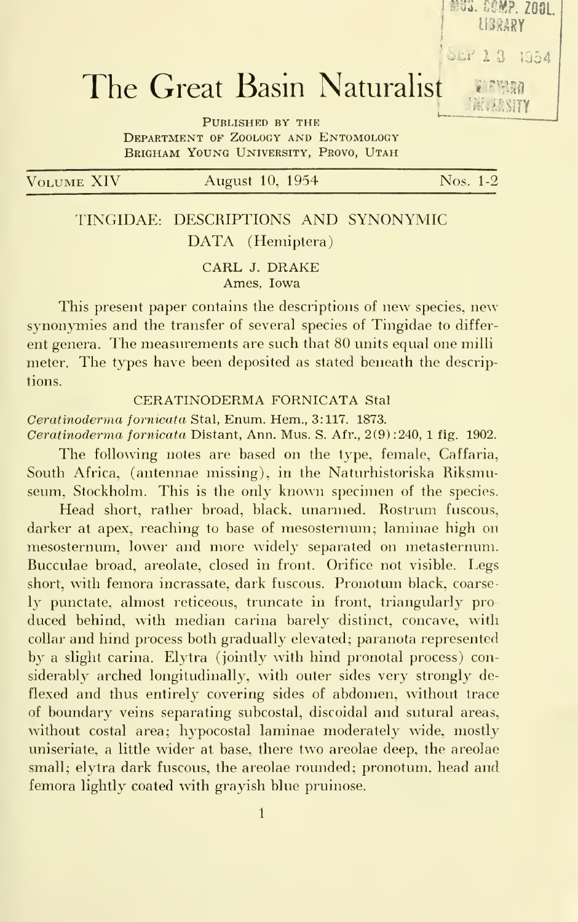# The Great Basin Naturalist

PUBLISHED BY THE Department of Zoology and Entomology Brigham Young University, Provo, Utah

#### VOLUME XIV August 10, 1954 Nos. 1-2

MUS. COMP. ZOOL **LIBRARY** 

SEF 13 1954

TINGIDAE: DESCRIPTIONS AND SYNONYMIC DATA (Hemiptera)

> CARL J. DRAKE Ames, Iowa

This present paper contains the descriptions of new species, new synonymies and the transfer of several species of Tingidae to differ ent genera. The measurements are such that 80 units equal one milli meter. The types have been deposited as stated beneath the descriptions.

CERATINODERMA FORNICATA Stal

Ceratinoderma fornicata Stal, Enum. Hem., 3:117. 1873.

Ceratinoderma fornicata Distant, Ann. Mus. S. Afr., 2(9) :240, 1 fig. 1902. The following notes are based on the type, female, Caffaria, South Africa, (antennae missing), in the Naturhistoriska Riksmuseum, Stockholm. This is the only known specimen of the species.

Head short, rather broad, black, unarmed. Rostrum fuscous, darker at apex, reaching to base of mesosternum; laminae high on mesosternum, lower and more widely separated on metasternum. Rucculae broad, areolate, closed in front. Orifice not visible. Legs short, with femora incrassate, dark fuscous. Pronotum black, coarse ly punctate, almost reticeous, truncate in front, triangularly pro duced behind, with median carina barely distinct, concave, with collar and hind process both gradually elevated; paranota represented by a slight carina. Elytra (jointly with hind pronotal process) considerably arched longitudinally, with outer sides very strongly deflexed and thus entirely covering sides of abdomen, without trace of boundary veins separating subcostal, discoidal and sutural areas, without costal area; hypocostal laminae moderately wide, mostly uniseriate, a little wider at base, there two areolae deep, the areolae small; elytra dark fuscous, the areolae rounded; pronotum, head and femora lightly coated with grayish blue pruinose.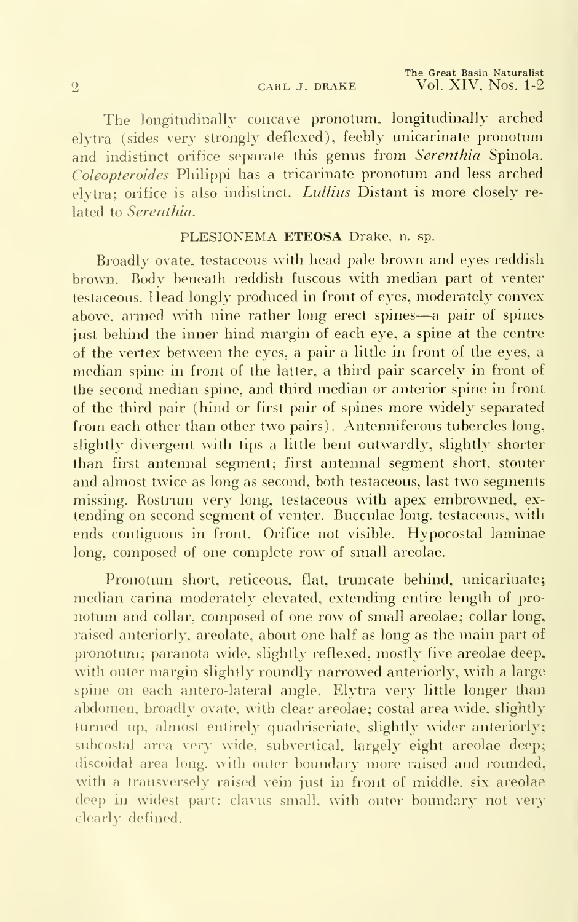The longitudinally concave pronotum, longitudinally arched elytra (sides very strongly deflexed), feebly unicarinate pronotmn and indistinct orifice separate this genus from Serenthia Spinola. Coleopteroides Philippi has <sup>a</sup> tricarinate pronotum and less arched elytra; orifice is also indistinct. Lullius Distant is more closely re lated to Serenthia.

#### PLESIONEMA ETEOSA Drake, n. sp.

Broadly ovate, testaceous with head pale brown and eyes reddish brown. Body beneath reddish fuscous with median part of venter testaceous. Head longly produced in front of eyes, moderately convex above, armed with nine rather long erect spines—<sup>a</sup> pair of spines just behind the inner hind margin of each eye, a spine at the centre of the vertex between the eyes, a pair a little in front of the eyes, a median spine in front of the latter, a third pair scarcely in front of the second median spine, and third median or anterior spine in front of the third pair (hind or first pair of spines more widely separated from each other than other two pairs). Antenniferous tubercles long, slightly divergent with tips a little bent outwardly, slightly shorter than first antennal segment; first antennal segment short, stouter and almost twice as long as second, both testaceous, last two segments missing. Rostrum very long, testaceous with apex embrowned, ex tending on second segment of venter. Bucculae long, testaceous, with ends contiguous in front. Orifice not visible. Hypocostal laminae long, composed of one complete row of small areolae.

Pronotum short, reticeous, flat, truncate behind, unicarinate; median carina moderately elevated, extending entire length of pro notum and collar, composed of one row of small areolae; collar long, raised anteriorly, areolate, about one half as long as the main part of pronotum; paranota wide, slightly reflexed, mostly five areolae deep, with outer margin slightly roundly narrowed anteriorly, with a large spine on each antero-lateral angle. Elytra very little longer than abdomen, broadly ovate, with clear areolae; costal area wide, slightly turned up, almost entirely quadriseriate, slightly wider anteriorly; subcostal area very wide, subvertical, largely eight areolae deep; discoidal area long, with outer boundary more raised and rounded, with a transversely raised vein just in front of middle, six areolae deep in widest part; clavus small, with outer boundary not very clearly defined.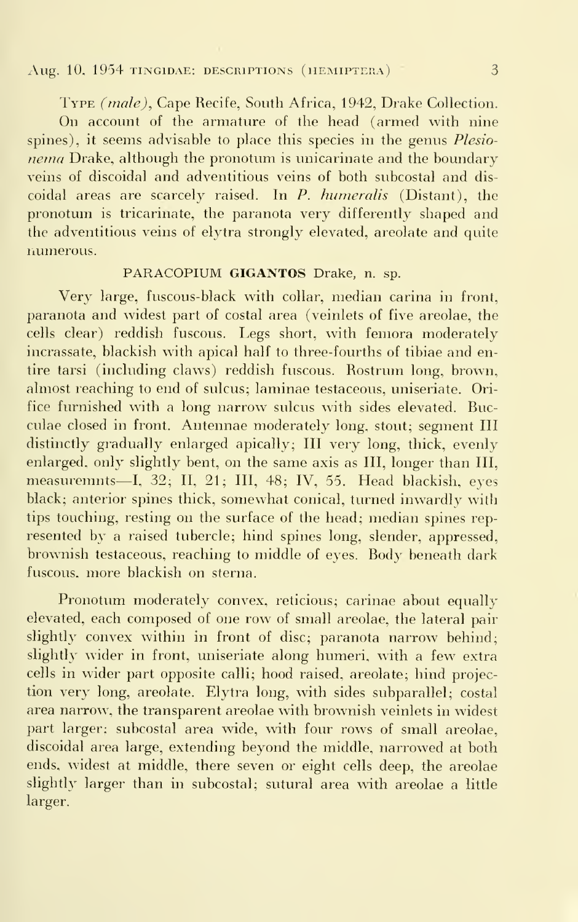#### Aug. 10, 1954 TINGIDAE: DESCRIPTIONS (HEMIPTERA)  $\sim$  3

Type (male). Cape Recife, South Africa, 1942, Drake Collection. On account of the armature of the head (armed with nine spines), it seems advisable to place this species in the genus *Plesio*nema Drake, although the pronotum is unicarinate and the boundary veins of discoidal and adventitious veins of both subcostal and dis-  $\alpha$  coidal areas are scarcely raised. In P. humeralis (Distant), the pronotum is tricarinate, the paranota very differently shaped and the adventitious veins of elytra strongly elevated, areolate and quite numerous.

#### PARACOPIUM GIGANTOS Drake, n. sp.

Very large, fuscous-black with collar, median carina in front, paranota and widest part of costal area (veinlets of five areolae, the cells clear) reddish fuscous. Legs short, with femora moderately incrassate, blackish with apical half to three-fourths of tibiae and entire tarsi (including claws) reddish fuscous. Rostrum long, brown, almost reaching to end of sulcus; laminae testaceous, uniseriate. Orifice furnished with a long narrow sulcus with sides elevated. Bucculae closed in front. Antennae moderately long, stout; segment III distinctly gradually enlarged apically; III very long, thick, evenly enlarged, only slightly bent, on the same axis as III, longer than III, measuremnts—I, 32; II, 21; III, 48; IV, 55. Head blackish, eyes black; anterior spines thick, somewhat conical, turned inwardly with tips touching, resting on the surface of the head; median spines rep resented by a raised tubercle; hind spines long, slender, appressed, brownish testaceous, reaching to middle of eyes. Body beneath dark fuscous, more blackish on sterna.

Pronotum moderately convex, reticious; carinae about equally elevated, each composed of one row of small areolae, the lateral pair slightly convex within in front of disc; paranota narrow behind; slightly wider in front, uniseriate along humeri, with a few extra cells in wider part opposite calli; hood raised, areolate; hind projection very long, areolate. Elytra long, with sides subparallel; costal area narrow, the transparent areolae with brownish veinlets in widest part larger: subcostal area wide, with four rows of small areolae, discoidal area large, extending beyond the middle, narrowed at both ends, widest at middle, there seven or eight cells deep, the areolae slightly larger than in subcostal; sutural area with areolae a little larger.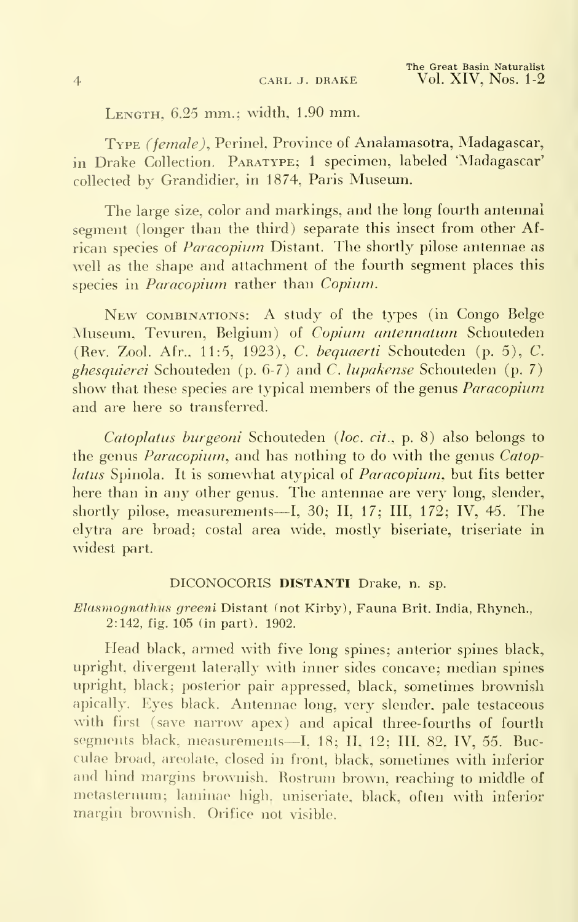Length, 6.25 mm.; width, 1.90 mm.

Type (female), Perinel, Province of Analamasotra, Madagascar, in Drake Collection. PARATYPE; 1 specimen, labeled 'Madagascar' collected by Grandidier, in 1874, Paris Museum.

The large size, color and markings, and the long fourth antennal segment (longer than the third) separate this insect from other African species of *Paracopium* Distant. The shortly pilose antennae as well as the shape and attachment of the fourth segment places this species in *Paracopium* rather than *Copium*.

New combinations: A study of the types (in Congo Beige Museum, Tevuren, Belgium) of Copium antennatum Schouteden (Rev. Zool. Afr., 11:5, 1923), C. bequaerti Schouteden (p. 5), C. ghesquierei Schouteden (p. 6-7) and C. lupakense Schouteden (p. 7) show that these species are typical members of the genus *Paracopium* and are here so transferred.

Catoplatus burgeoni Schouteden (loc. cit., p. 8) also belongs to the genus *Paracopium*, and has nothing to do with the genus *Catop*latus Spinola. It is somewhat atypical of *Paracopium*, but fits better here than in any other genus. The antennae are very long, slender, shortly pilose, measurements—I, 30; II, 17; III, 172; IV, 45. The elytra are broad; costal area wide, mostly biseriate, triseriate in widest part.

#### DICONOCORIS DISTANTI Drake, n. sp.

Elasmognathus greeni Distant (not Kirby), Fauna Brit. India, Rhynch., 2:142, fig. 105 (in part). 1902.

Head black, armed with five long spines; anterior spines black, upright, divergent laterally with inner sides concave; median spines upright, black; posterior pair appressed, black, sometimes brownish apically. Eyes black. Antennae long, very slender, pale testaceous with first (save narrow apex) and apical three-fourths of fourth segments black, measurements—I, 18; II, 12; III, 82, IV, 55. Bucculae broad, areolate, closed in front, black, sometimes with inferior and hind margins brownish. Rostrum brown, reaching to middle of metasternum; laminae high, uniseriate, black, often with inferior margin brownish. Orifice not visible.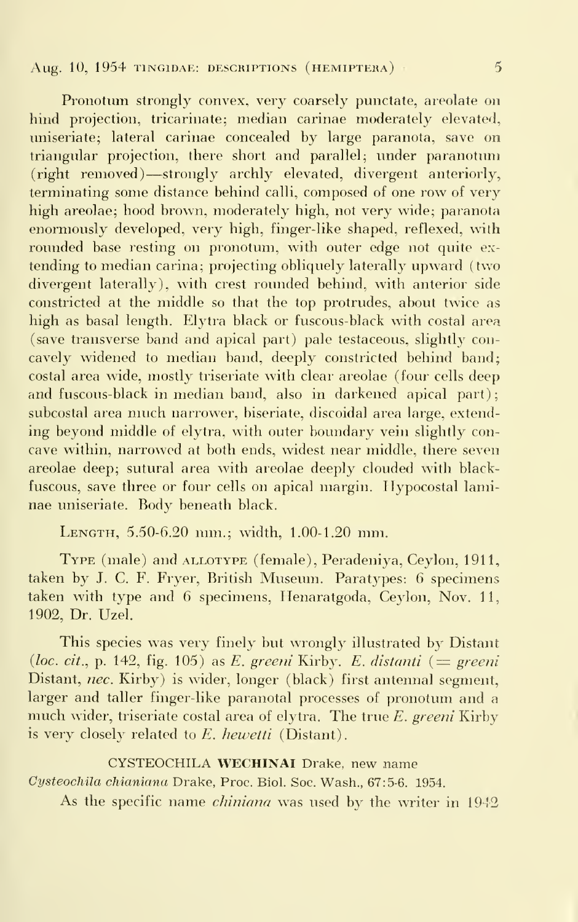#### Aug. 10, 1954 TINGIDAE: DESCRIPTIONS (HEMIPTERA) 5

Pronotum strongly convex, very coarsely punctate, areolate on hind projection, tricarinate; median carinae moderately elevated, uniseriate; lateral carinae concealed by large paranota, save on triangular projection, there short and parallel; under paranotum (right removed) —strongly archly elevated, divergent anteriorly, terminating some distance behind calli, composed of one row of very" high areolae; hood brown, moderately high, not very wide; paranota enormously developed, very high, finger-like shaped, reflexed, with rounded base resting on pronotum, with outer edge not quite ex tending to median carina; projecting obliquely laterally upward (two divergent laterally), with crest rounded behind, with anterior side constricted at the middle so that the top protrudes, about twice as high as basal length. Elytra black or fuscous-black with costal area (save transverse band and apical part) pale testaceous, slightly con cavely widened to median band, deeply constricted behind band; costal area wide, mostly triseriate with clear areolae (four cells deep and fuscous-black in median band, also in darkened apical part); subcostal area much narrower, biseriate, discoidal area large, extending beyond middle of elytra, with outer boundary vein slightly con cave within, narrowed at both ends, widest near middle, there seven areolae deep; sutural area with areolae deeply clouded with blackfuscous, save three or four cells on apical margin. Hypocostal lami nae uniseriate. Body beneath black.

Length, 5.50-6.20 mm.; width, 1.00-1.20 mm.

Type (male) and allotype (female), Peradeniya, Ceylon, 1911, taken by J. C. F. Fryer, British Museum. Paratypes: 6 specimens taken with type and  $6$  specimens, Henaratgoda, Ceylon, Nov. 11, 1902, Dr. Uzel.

This species was very finely but wrongly illustrated by Distant (loc. cit., p. 142, fig. 105) as E. greeni Kirby. E. distanti (= greeni Distant, nec. Kirby) is wider, longer (black) first antennal segment, larger and taller finger-like paranotal processes of pronotum and a much wider, triseriate costal area of elytra. The true E. greeni Kirby is very closely related to E. hewetti (Distant).

CYSTEOCHILA WECHINAI Drake, new name Cysteochila chianiana Drake, Proc. Biol. Soc. Wash., 67:5-6. 1954.

As the specific name *chiniana* was used by the writer in 1942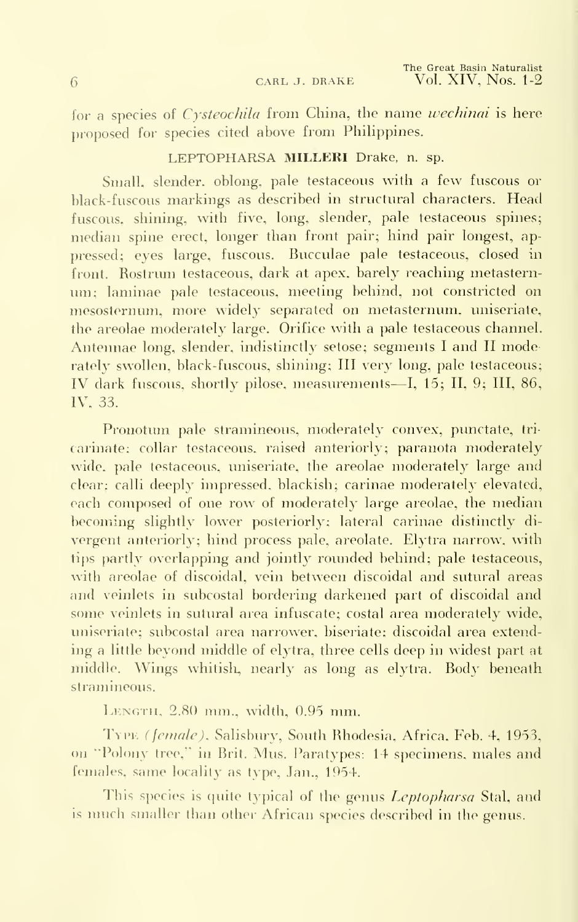The Great Basin Naturalist 6 CARL J. DRAKE Vol. XIV, Nos. 1-2

for a species of Cysteochila from China, the name wechinai is here proposed for species cited above from Philippines.

#### LEPTOPHARSA MILLERI Drake, n. sp.

Small, slender, oblong, pale testaceous with a few fuscous or black-fuscous markings as described in structural characters. Head fuscous, shining, with five, long, slender, pale testaceous spines; median spine erect, longer than front pair; hind pair longest, appressed; eyes large, fuscous. Bucculae pale testaceous, closed in front. Rostrum testaceous, dark at apex, barely reaching metasternum; laminae pale testaceous, meeting behind, not constricted on mesosternum, more widely separated on metasternum, uniseriate, the areolae moderately large. Orifice with a pale testaceous channel. Antennae long, slender, indistinctly setose; segments <sup>I</sup> and II mode rately swollen, black-fuscous, shining; III very long, pale testaceous; IV dark fuscous, shortly pilose, measurements—I, 15; II, 9; III, 86, IV, 33.

Pronotum pale stramineous, moderately convex, punctate, tri carinate; collar testaceous, raised anteriorly; paranota moderately wide, pale testaceous, uniseriate, the areolae moderately large and clear; calli deeply impressed, blackish; carinae moderately elevated, each composed of one row of moderately large areolae, the median becoming slightly lower posteriorly; lateral carinae distinctly di vergent anteriorly; hind process pale, areolate. Elytra narrow, with tips partly overlapping and jointly rounded behind; pale testaceous, with areolae of discoidal, vein between discoidal and sutural areas and veinlets in subcostal bordering darkened part of discoidal and some veinlets in sutural area infuscate; costal area moderately wide, uniseriate; subcostal area narrower, biseriate; discoidal area extending a little beyond middle of elytra, three cells deep in widest part at middle. Wings whitish, nearly as long as elytra. Body beneath stramineous.

Length, 2.80 mm., width, 0.95 mm.

Type (female), Salisbury, South Rhodesia, Africa, Feb. 4, 1953, on "Polony tree," in Brit. Mus. Paratypes: 14 specimens, males and females, same locality as type, Jan., 1954.

This species is quite typical of the genus *Leptopharsa* Stal, and is much smaller than other African species described in the genus.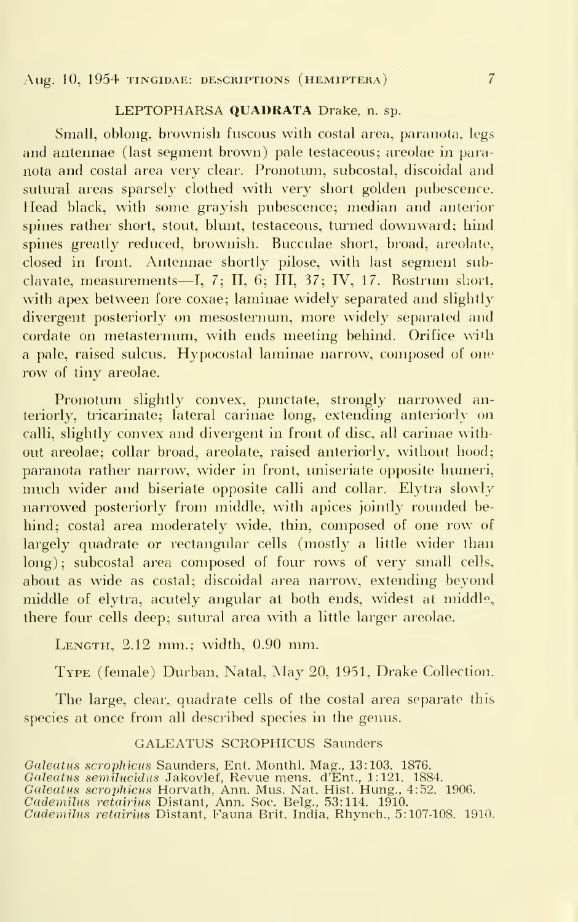#### LEPTOPHARSA QUADRATA Drake, n. sp.

Small, oblong, brownish fuscous with costal area, paranota, legs and antennae (last segment brown) pale testaceous; areolae in para nota and costal area very clear. Pronotum, subcostal, discoidal and sutural areas sparsely clothed with very short golden pubescence. Head black, with some grayish pubescence; median and anterior spines rather short, stout, blunt, testaceous, turned downward; hind spines greatly reduced, brownish. Bucculae short, broad, areolate, closed in front. Antennae shortly pilose, with last segment subclavate, measurements—I, 7; II, 6; III, 37; IV, 17. Rostrum short, with apex between fore coxae; laminae widely separated and slightly divergent posteriorly on mesosternum, more widely separated and cordate on metasternum, with ends meeting behind. Orifice with a pale, raised sulcus. Hypocostal laminae narrow, composed of one row of tiny areolae.

Pronotum slightly convex, punctate, strongly narrowed anteriorly, tricarinate; lateral carinae long, extending anteriorly on calli, slightly convex and divergent in front of disc, all carinae with out areolae; collar broad, areolate, raised anteriorly, without hood; paranota rather narrow, wider in front, uniseriate opposite humeri, much wider and biseriate opposite calli and collar. Elytra slowly narrowed posteriorly from middle, with apices jointly rounded behind; costal area moderately wide, thin, composed of one row of largely quadrate or rectangular cells (mostly a little wider than  $long)$ ; subcostal area composed of four rows of very small cells, about as wide as costal; discoidal area narrow, extending beyond middle of elytra, acutely angular at both ends, widest at middle, there four cells deep; sutural area with a little larger areolae.

Length, 2.12 mm.; width, 0.90 mm.

Type (female) Durban, Natal, May 20, 1951, Drake Collection.

The large, clear, quadrate cells of the costal area separate this species at once from all described species in the genus.

#### GALEATUS SCROPHICUS Saunders

Galeatus scrophicus Saunders, Ent. Monthl. Mag., 13:103. 1876.<br>Galeatus semilucidus Jakovlef, Revue mens. d'Ent., 1:121. 1884.<br>Galeatus scrophicus Horvath, Ann. Mus. Nat. Hist. Hung., 4:52. 1906. Cademilus retairius Distant, Ann. Soc. Belg., 53:114. 1910.<br>Cademilus retairius Distant, Fauna Brit. India, Rhynch., 5:107-108. 1910.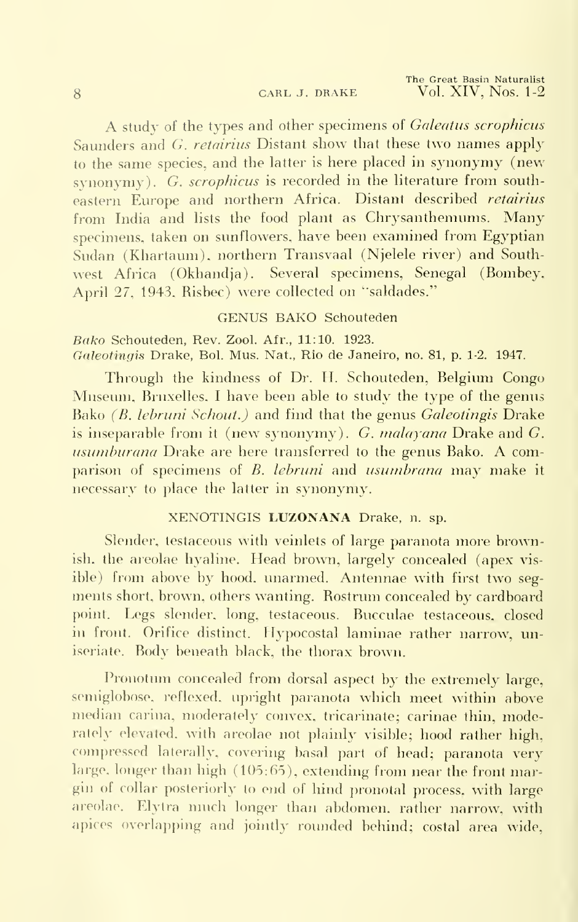A study of the types and other specimens of Galeatus scrophicus Saunders and G. *retairius* Distant show that these two names apply to the same species, and the latter is here placed in synonymy (newsynonymy). G. scrophicus is recorded in the literature from south eastern Europe and northern Africa. Distant described *retairius* from India and lists the food plant as Chrysanthemums. Many specimens, taken on sunflowers, have been examined from Egyptian Sudan (Khartaum), northern Transvaal (Njelele river) and Southwest Africa (Okhandja). Several specimens, Senegal (Bombey, April 27, 1943, Risbec) were collected on '"saldades."

#### GENUS BAKO Schouteden

Bako Schouteden, Rev. Zool. Afr., 11:10. 1923. Galeotingis Drake, Bol. Mus. Nat., Rio de Janeiro, no. 81, p. 1-2. 1947.

Through the kindness of Dr. H. Schouteden, Belgium Congo Museum, Bruxelles, <sup>I</sup> have been able to study the type of the genus Bako (B. lebruni Schout.) and find that the genus Galeotingis Drake is inseparable from it (new synonymy).  $G$ , *malayana* Drake and  $G$ . usumburana Drake are here transferred to the genus Bako. A comparison of specimens of  $B$ , *lebruni* and *usumbrana* may make it necessary to place the latter in synonymy.

#### XENOTINGIS LUZONANA Drake, n. sp.

Slender, testaceous with veinlets of large paranota more brownish, the areolae hyaline. Head brown, largely concealed (apex vis ible) from above by hood, unarmed. Antennae with first two seg ments short, brown, others wanting. Rostrum concealed by cardboard point. Legs slender, long, testaceous. Bucculae testaceous, closed in front. Orifice distinct. Hypocostal laminae rather narrow, uniseriate. Body beneath black, the thorax brown.

Pronotum concealed from dorsal aspect by the extremely large, semiglobose, reflexed, upright paranota which meet within above median carina, moderately convex, tricarinate; carinae thin, moderately elevated, with areolae not plainly visible; hood rather high, compressed laterally, covering basal part of head; paranota very large, longer than high (105:65), extending from near the front margin of collar posteriorly to end of hind pronotal process, with large areolae. Elytra much longer than abdomen, rather narrow, with apices overlapping and jointly rounded behind; costal area wide,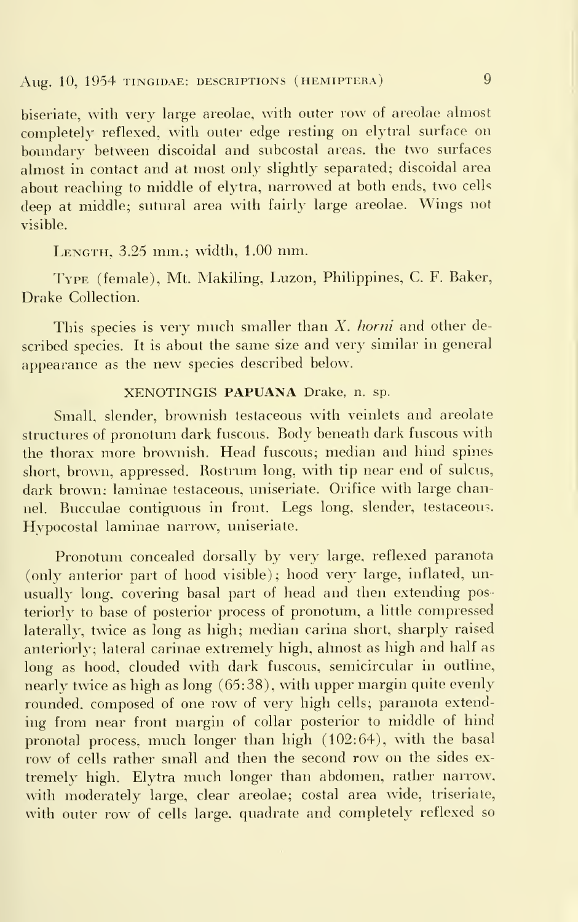biseriate, with very large areolae, with outer row of areolae almost completely reflexed, with outer edge resting on elytral surface on boundary between discoidal and subcostal areas, the two surfaces almost in contact and at most only slightly separated; discoidal area about reaching to middle of elytra, narrowed at both ends, two cells deep at middle; sutural area with fairly large areolae. Wings not visible.

Length, 3.25 mm.; width, 1.00 mm.

Type (female), Mt. Makiling, Luzon, Philippines, C. F. Baker, Drake Collection.

This species is very much smaller than  $X$ . *horni* and other described species. It is about the same size and very similar in general appearance as the new species described below.

#### XENOTINGIS PAPUANA Drake, n. sp.

Small, slender, brownish testaceous with veinlets and areolate structures of pronotum dark fuscous. Body beneath dark fuscous with the thorax more brownish. Head fuscous; median and hind spines short, brown, appressed. Rostrum long, with tip near end of sulcus, dark brown; laminae testaceous, uniseriate. Orifice with large channel. Bucculae contiguous in front. Legs long, slender, testaceous. Hypocostal laminae narrow, uniseriate.

Pronotum concealed dorsally by very large, reflexed paranota (only anterior part of hood visible); hood very large, inflated, unusually long, covering basal part of head and then extending pos teriorly to base of posterior process of pronotum, a little compressed laterally, twice as long as high; median carina short, sharply raised anteriorly; lateral carinae extremely high, almost as high and half as long as hood, clouded with dark fuscous, semicircular in outline, nearly twice as high as long (65:38), with upper margin quite evenly rounded, composed of one row of very high cells; paranota extending from near front margin of collar posterior to middle of hind pronotal process, much longer than high (102:64), with the basal row of cells rather small and then the second row on the sides ex tremely high. Elytra much longer than abdomen, rather narrow, with moderately large, clear areolae; costal area wide, triseriate, with outer row of cells large, quadrate and completely reflexed so